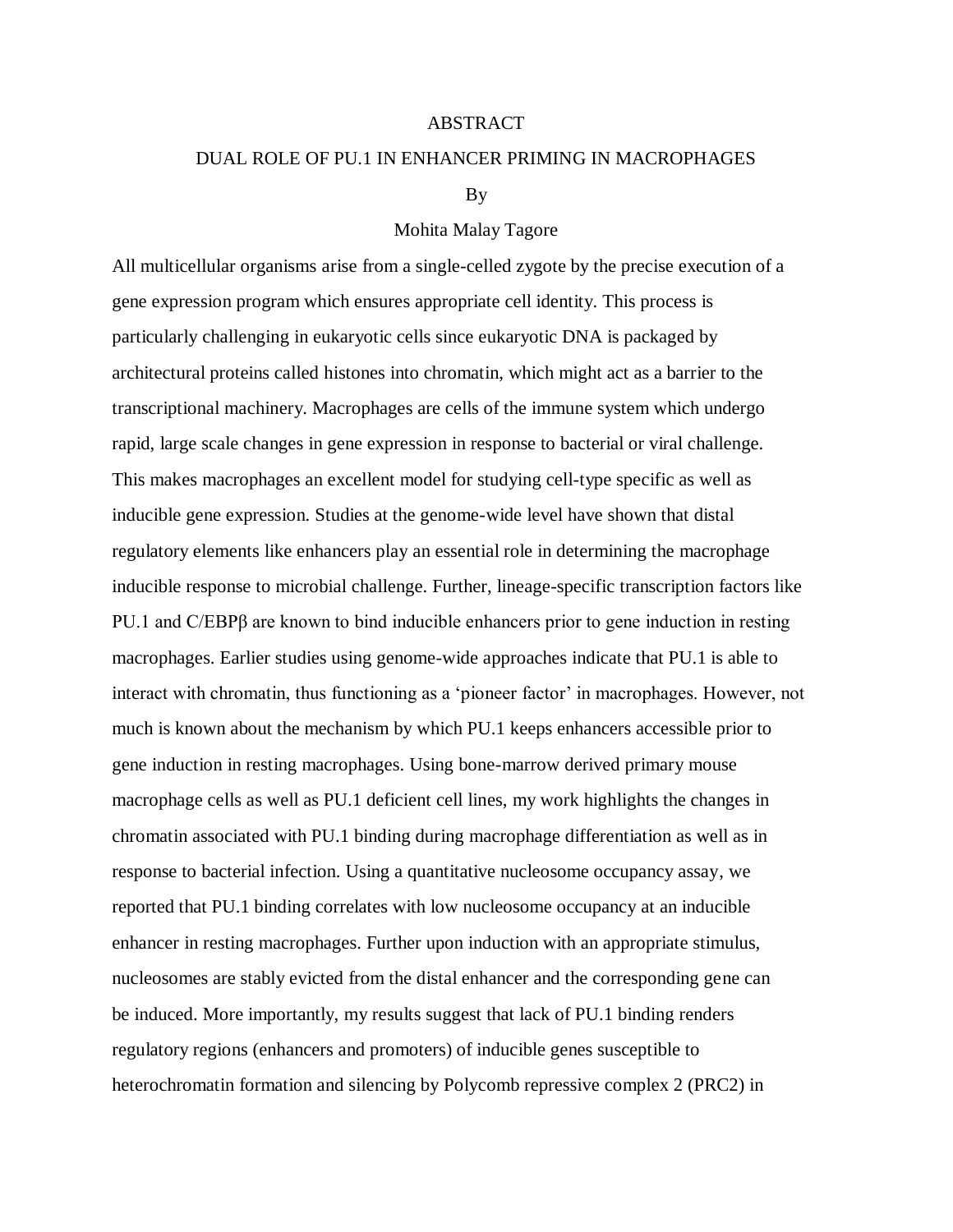## ABSTRACT

## DUAL ROLE OF PU.1 IN ENHANCER PRIMING IN MACROPHAGES

#### By

# Mohita Malay Tagore

All multicellular organisms arise from a single-celled zygote by the precise execution of a gene expression program which ensures appropriate cell identity. This process is particularly challenging in eukaryotic cells since eukaryotic DNA is packaged by architectural proteins called histones into chromatin, which might act as a barrier to the transcriptional machinery. Macrophages are cells of the immune system which undergo rapid, large scale changes in gene expression in response to bacterial or viral challenge. This makes macrophages an excellent model for studying cell-type specific as well as inducible gene expression. Studies at the genome-wide level have shown that distal regulatory elements like enhancers play an essential role in determining the macrophage inducible response to microbial challenge. Further, lineage-specific transcription factors like PU.1 and C/EBPβ are known to bind inducible enhancers prior to gene induction in resting macrophages. Earlier studies using genome-wide approaches indicate that PU.1 is able to interact with chromatin, thus functioning as a 'pioneer factor' in macrophages. However, not much is known about the mechanism by which PU.1 keeps enhancers accessible prior to gene induction in resting macrophages. Using bone-marrow derived primary mouse macrophage cells as well as PU.1 deficient cell lines, my work highlights the changes in chromatin associated with PU.1 binding during macrophage differentiation as well as in response to bacterial infection. Using a quantitative nucleosome occupancy assay, we reported that PU.1 binding correlates with low nucleosome occupancy at an inducible enhancer in resting macrophages. Further upon induction with an appropriate stimulus, nucleosomes are stably evicted from the distal enhancer and the corresponding gene can be induced. More importantly, my results suggest that lack of PU.1 binding renders regulatory regions (enhancers and promoters) of inducible genes susceptible to heterochromatin formation and silencing by Polycomb repressive complex 2 (PRC2) in